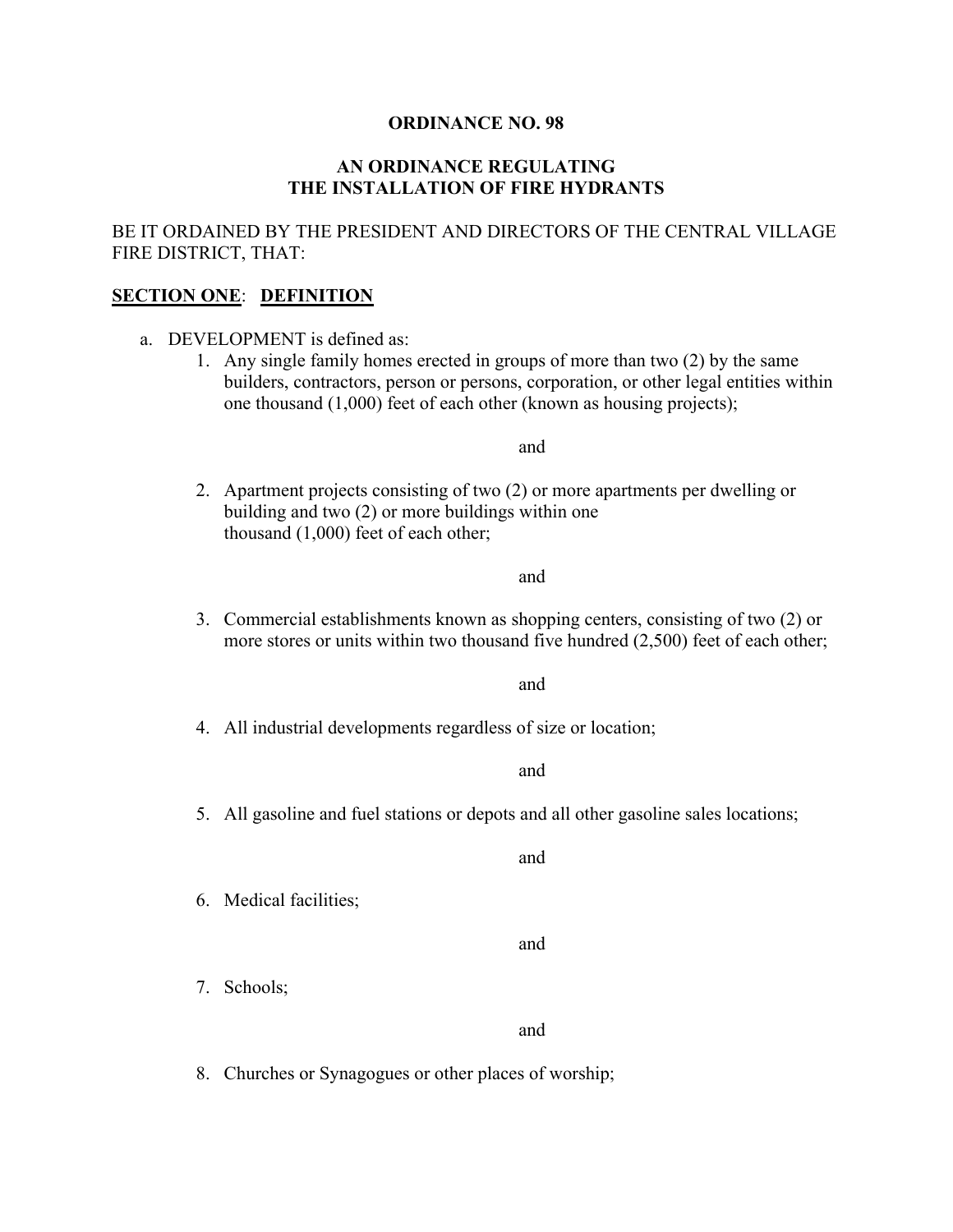#### **ORDINANCE NO. 98**

#### **AN ORDINANCE REGULATING THE INSTALLATION OF FIRE HYDRANTS**

#### BE IT ORDAINED BY THE PRESIDENT AND DIRECTORS OF THE CENTRAL VILLAGE FIRE DISTRICT, THAT:

#### **SECTION ONE**: **DEFINITION**

- a. DEVELOPMENT is defined as:
	- 1. Any single family homes erected in groups of more than two (2) by the same builders, contractors, person or persons, corporation, or other legal entities within one thousand (1,000) feet of each other (known as housing projects);

and

2. Apartment projects consisting of two (2) or more apartments per dwelling or building and two (2) or more buildings within one thousand (1,000) feet of each other;

and

3. Commercial establishments known as shopping centers, consisting of two (2) or more stores or units within two thousand five hundred (2,500) feet of each other;

and

4. All industrial developments regardless of size or location;

and

5. All gasoline and fuel stations or depots and all other gasoline sales locations;

and

6. Medical facilities;

and

7. Schools;

and

8. Churches or Synagogues or other places of worship;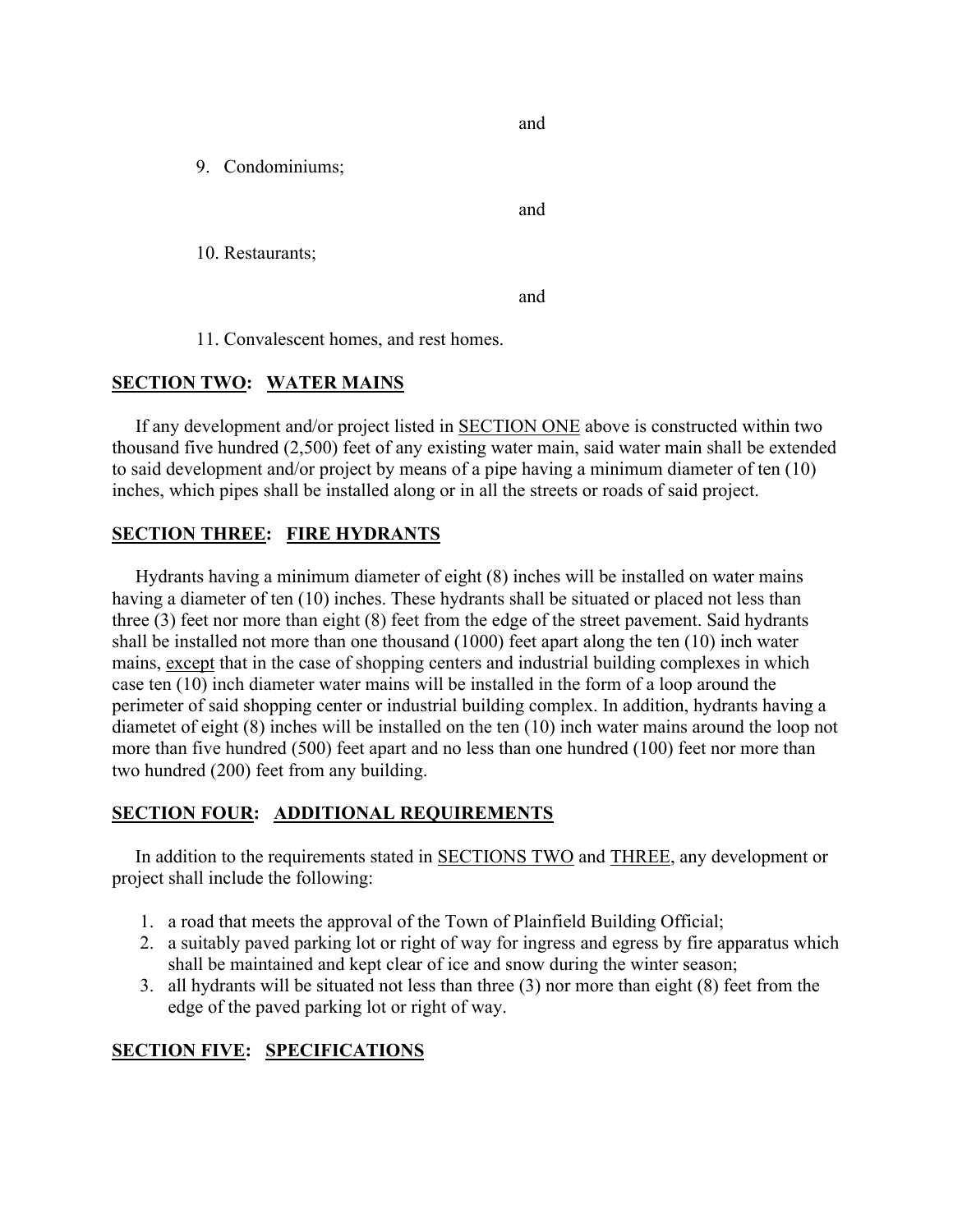and

9. Condominiums;

and

10. Restaurants;

and

11. Convalescent homes, and rest homes.

### **SECTION TWO: WATER MAINS**

 If any development and/or project listed in SECTION ONE above is constructed within two thousand five hundred (2,500) feet of any existing water main, said water main shall be extended to said development and/or project by means of a pipe having a minimum diameter of ten (10) inches, which pipes shall be installed along or in all the streets or roads of said project.

#### **SECTION THREE: FIRE HYDRANTS**

 Hydrants having a minimum diameter of eight (8) inches will be installed on water mains having a diameter of ten (10) inches. These hydrants shall be situated or placed not less than three (3) feet nor more than eight (8) feet from the edge of the street pavement. Said hydrants shall be installed not more than one thousand (1000) feet apart along the ten (10) inch water mains, except that in the case of shopping centers and industrial building complexes in which case ten (10) inch diameter water mains will be installed in the form of a loop around the perimeter of said shopping center or industrial building complex. In addition, hydrants having a diametet of eight (8) inches will be installed on the ten (10) inch water mains around the loop not more than five hundred (500) feet apart and no less than one hundred (100) feet nor more than two hundred (200) feet from any building.

### **SECTION FOUR: ADDITIONAL REQUIREMENTS**

 In addition to the requirements stated in SECTIONS TWO and THREE, any development or project shall include the following:

- 1. a road that meets the approval of the Town of Plainfield Building Official;
- 2. a suitably paved parking lot or right of way for ingress and egress by fire apparatus which shall be maintained and kept clear of ice and snow during the winter season;
- 3. all hydrants will be situated not less than three (3) nor more than eight (8) feet from the edge of the paved parking lot or right of way.

### **SECTION FIVE: SPECIFICATIONS**